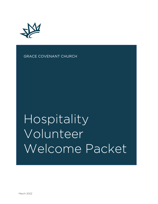

GRACE COVENANT CHURCH

# Hospitality Volunteer Welcome Packet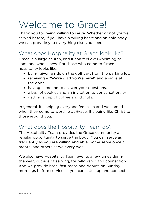# Welcome to Grace!

Thank you for being willing to serve. Whether or not you've served before, if you have a willing heart and an able body, we can provide you everything else you need.

# What does Hospitality at Grace look like?

Grace is a large church, and it can feel overwhelming to someone who is new. For those who come to Grace, hospitality looks like:

- being given a ride on the golf cart from the parking lot,
- receiving a "We're glad you're here!" and a smile at the door,
- having someone to answer your questions,
- a bag of cookies and an invitation to conversation, or
- getting a cup of coffee and donuts.

In general, it's helping everyone feel seen and welcomed when they come to worship at Grace. It's being like Christ to those around you.

# What does the Hospitality Team do?

The Hospitality Team provides the Grace community a regular opportunity to serve the body. You can serve as frequently as you are willing and able. Some serve once a month, and others serve every week.

We also have Hospitality Team events a few times during the year, outside of serving, for fellowship and connection. And we provide breakfast tacos and donuts on Sunday mornings before service so you can catch up and connect.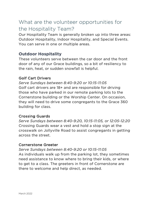# What are the volunteer opportunities for the Hospitality Team?

Our Hospitality Team is generally broken up into three areas: Outdoor Hospitality, Indoor Hospitality, and Special Events. You can serve in one or multiple areas.

#### **Outdoor Hospitality**

These volunteers serve between the car door and the front door of any of our Grace buildings, so a bit of resiliency to the rain, heat, or sudden snowfall is helpful.

#### Golf Cart Drivers

*Serve Sundays between 8:40-9:20 or 10:15-11:05* Golf cart drivers are 18+ and are responsible for driving those who have parked in our remote parking lots to the Cornerstone building or the Worship Center. On occasion, they will need to drive some congregants to the Grace 360 building for class.

#### Crossing Guards

*Serve Sundays between 8:40-9:20, 10:15-11:05, or 12:05-12:20* Crossing Guards wear a vest and hold a stop sign at the crosswalk on Jollyville Road to assist congregants in getting across the street.

#### Cornerstone Greeter

*Serve Sundays between 8:40-9:20 or 10:15-11:05* As individuals walk up from the parking lot, they sometimes need assistance to know where to bring their kids, or where to get to a class. The greeters in front of Cornerstone are there to welcome and help direct, as needed.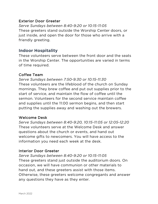#### Exterior Door Greeter

*Serve Sundays between 8:40-9:20 or 10:15-11:05* These greeters stand outside the Worship Center doors, or just inside, and open the door for those who arrive with a friendly greeting.

#### **Indoor Hospitality**

These volunteers serve between the front door and the seats in the Worship Center. The opportunities are varied in terms of time required.

#### Coffee Team

*Serve Sundays between 7:50-9:30 or 10:15-11:30* These volunteers are the lifeblood of the church on Sunday mornings. They brew coffee and put out supplies prior to the start of service, and maintain the flow of coffee until the sermon. Volunteers for the second service maintain coffee and supplies until the 11:00 sermon begins, and then start putting the supplies away and washing out the brewers.

#### Welcome Desk

*Serve Sundays between 8:40-9:20, 10:15-11:05 or 12:05-12:20* These volunteers serve at the Welcome Desk and answer questions about the church or events, and hand out welcome gifts to newcomers. You will have access to the information you need each week at the desk.

#### Interior Door Greeter

*Serve Sundays between 8:40-9:20 or 10:15-11:05* These greeters stand just outside the auditorium doors. On occasion, we will have communion or other materials to hand out, and these greeters assist with those items. Otherwise, these greeters welcome congregants and answer any questions they have as they enter.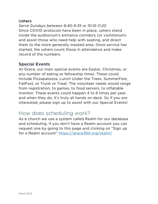#### Ushers

*Serve Sundays between 8:40-9:35 or 10:15-11:20* Since COVID protocols have been in place, ushers stand inside the auditorium's entrance corridors (or vomitorium) and assist those who need help with seating, and direct them to the more generally masked area. Once service has started, the ushers count those in attendance and make record of the numbers.

#### **Special Events**

At Grace, our main special events are Easter, Christmas, or any number of eating or fellowship times. These could include Pizzapalooza, Lunch Under the Trees, SummerFest, FallFest, or Trunk or Treat. The volunteer needs would range from registration, to games, to food servers, to inflatable monitor. These events could happen 4 to 6 times per year, and when they do, it's truly all hands on deck. So if you are interested, please sign up to assist with our Special Events!

# How does scheduling work?

As a church we use a system called Realm for our database and scheduling. If you don't have a Realm account you can request one by going to this page and clicking on "Sign up for a Realm account" https://grace360.org/realm/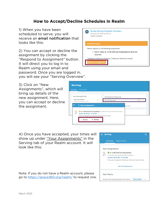#### **How to Accept/Decline Schedules in Realm**

1) When you have been scheduled to serve, you will receive an email notification that looks like this:

2) You can accept or decline the assignment by clicking the "Respond to Assignment" button. It will direct you to log in to Realm using your email and password. Once you are logged in, you will see your "Serving Overview".

3) Click on "New Assignments", which will bring up details of the new assignment. Here, you can accept or decline the assignment.



| <b>Serving</b><br><b>Opportunities</b><br>Overview                                                                                        |                        |              |
|-------------------------------------------------------------------------------------------------------------------------------------------|------------------------|--------------|
| Your Serving Profile                                                                                                                      | Awaiting Your Response |              |
| Days You Can Serve<br><br>Sun, Mon, Tues, Wed, Thu, Fri, Sat<br>$\equiv$                                                                  | New Assignments        | $\mathbf{1}$ |
| K New Assignments<br>FEB<br>m. 11:00 Golf Cart (Hospitality) for Sunday Morning Hospitality Volunteers<br>27<br>Sunday 10:30 AM -11:15 AM | signments              |              |
| February Hospitality Schedule, Worship Center Lobby<br>$\times$ Decline<br>Accept                                                         |                        |              |

4) Once you have accepted, your times will show up under "Your Assignments" in the Serving tab of your Realm account. It will look like this:

Note: If you do not have a Realm account, please go to https://grace360.org/realm/ to request one.